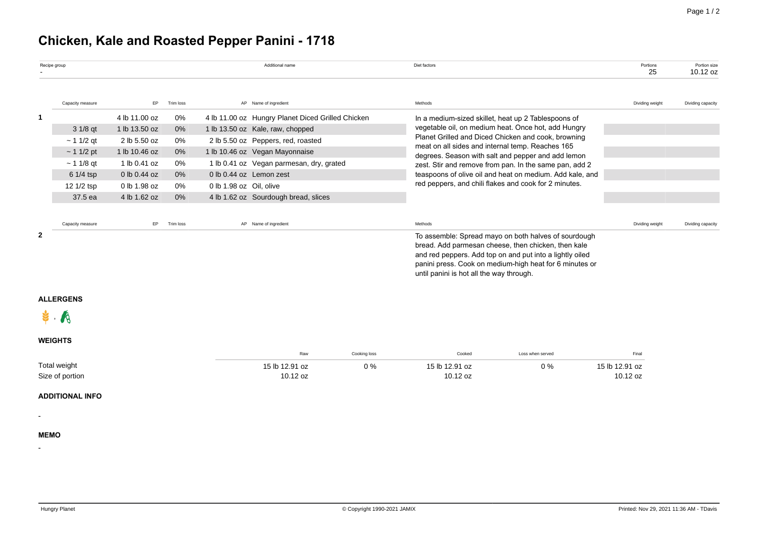## **Chicken, Kale and Roasted Pepper Panini - 1718**

|                |                                        |               |           |                         |                                                   |              | Diet factors                                                                                           |                                                                                                                     | Portions<br>25             | Portion size<br>10.12 oz |  |
|----------------|----------------------------------------|---------------|-----------|-------------------------|---------------------------------------------------|--------------|--------------------------------------------------------------------------------------------------------|---------------------------------------------------------------------------------------------------------------------|----------------------------|--------------------------|--|
|                | Capacity measure                       | EP            | Trim loss |                         | AP Name of ingredient                             |              | Methods                                                                                                |                                                                                                                     | Dividing weight            | Dividing capacity        |  |
| $\mathbf{1}$   |                                        | 4 lb 11.00 oz | 0%        |                         | 4 lb 11.00 oz Hungry Planet Diced Grilled Chicken |              |                                                                                                        | In a medium-sized skillet, heat up 2 Tablespoons of                                                                 |                            |                          |  |
|                | 3 1/8 qt                               | 1 lb 13.50 oz | $0\%$     |                         | 1 lb 13.50 oz Kale, raw, chopped                  |              | vegetable oil, on medium heat. Once hot, add Hungry                                                    |                                                                                                                     |                            |                          |  |
|                | $~11/2$ qt                             | 2 lb 5.50 oz  | 0%        |                         | 2 lb 5.50 oz Peppers, red, roasted                |              | Planet Grilled and Diced Chicken and cook, browning                                                    |                                                                                                                     |                            |                          |  |
|                | ~11/2~pt                               | 1 lb 10.46 oz | $0\%$     |                         | 1 lb 10.46 oz Vegan Mayonnaise                    |              | meat on all sides and internal temp. Reaches 165<br>degrees. Season with salt and pepper and add lemon |                                                                                                                     |                            |                          |  |
|                | ~11/8~qt                               | 1 lb 0.41 oz  | 0%        |                         | 1 lb 0.41 oz Vegan parmesan, dry, grated          |              | zest. Stir and remove from pan. In the same pan, add 2                                                 |                                                                                                                     |                            |                          |  |
|                | 6 1/4 tsp                              | 0 lb 0.44 oz  | 0%        | 0 lb 0.44 oz Lemon zest |                                                   |              | teaspoons of olive oil and heat on medium. Add kale, and                                               |                                                                                                                     |                            |                          |  |
|                | 12 1/2 tsp                             | 0 lb 1.98 oz  | 0%        | 0 lb 1.98 oz Oil, olive |                                                   |              | red peppers, and chili flakes and cook for 2 minutes.                                                  |                                                                                                                     |                            |                          |  |
|                | 37.5 ea                                | 4 lb 1.62 oz  | 0%        |                         | 4 lb 1.62 oz Sourdough bread, slices              |              |                                                                                                        |                                                                                                                     |                            |                          |  |
|                | Capacity measure                       | EP            | Trim loss |                         | AP Name of ingredient                             |              | Methods                                                                                                |                                                                                                                     | Dividing weight            | Dividing capacity        |  |
|                | <b>ALLERGENS</b>                       |               |           |                         |                                                   |              | until panini is hot all the way through.                                                               | and red peppers. Add top on and put into a lightly oiled<br>panini press. Cook on medium-high heat for 6 minutes or |                            |                          |  |
|                |                                        |               |           |                         |                                                   |              |                                                                                                        |                                                                                                                     |                            |                          |  |
| <b>WEIGHTS</b> |                                        |               |           |                         |                                                   |              |                                                                                                        |                                                                                                                     |                            |                          |  |
|                |                                        |               |           |                         | Raw                                               | Cooking loss | Cooked                                                                                                 | Loss when served                                                                                                    | Final                      |                          |  |
|                | <b>Total weight</b><br>Size of portion |               |           |                         | 15 lb 12.91 oz<br>10.12 oz                        | $0\%$        | 15 lb 12.91 oz<br>10.12 oz                                                                             | 0%                                                                                                                  | 15 lb 12.91 oz<br>10.12 oz |                          |  |
|                | <b>ADDITIONAL INFO</b>                 |               |           |                         |                                                   |              |                                                                                                        |                                                                                                                     |                            |                          |  |
|                |                                        |               |           |                         |                                                   |              |                                                                                                        |                                                                                                                     |                            |                          |  |
| <b>MEMO</b>    |                                        |               |           |                         |                                                   |              |                                                                                                        |                                                                                                                     |                            |                          |  |
|                |                                        |               |           |                         |                                                   |              |                                                                                                        |                                                                                                                     |                            |                          |  |
|                |                                        |               |           |                         |                                                   |              |                                                                                                        |                                                                                                                     |                            |                          |  |
|                |                                        |               |           |                         |                                                   |              |                                                                                                        |                                                                                                                     |                            |                          |  |